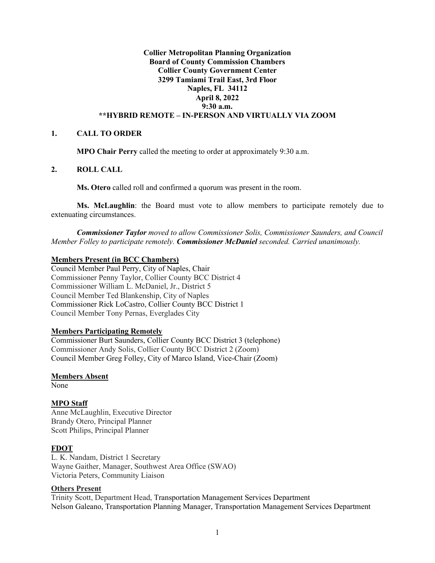## **Collier Metropolitan Planning Organization Board of County Commission Chambers Collier County Government Center 3299 Tamiami Trail East, 3rd Floor Naples, FL 34112 April 8, 2022 9:30 a.m. \*\*HYBRID REMOTE – IN-PERSON AND VIRTUALLY VIA ZOOM**

#### **1. CALL TO ORDER**

**MPO Chair Perry** called the meeting to order at approximately 9:30 a.m.

#### **2. ROLL CALL**

**Ms. Otero** called roll and confirmed a quorum was present in the room.

**Ms. McLaughlin**: the Board must vote to allow members to participate remotely due to extenuating circumstances.

*Commissioner Taylor moved to allow Commissioner Solis, Commissioner Saunders, and Council Member Folley to participate remotely. Commissioner McDaniel seconded. Carried unanimously.* 

# **Members Present (in BCC Chambers)**

Council Member Paul Perry, City of Naples, Chair Commissioner Penny Taylor, Collier County BCC District 4 Commissioner William L. McDaniel, Jr., District 5 Council Member Ted Blankenship, City of Naples Commissioner Rick LoCastro, Collier County BCC District 1 Council Member Tony Pernas, Everglades City

#### **Members Participating Remotely**

Commissioner Burt Saunders, Collier County BCC District 3 (telephone) Commissioner Andy Solis, Collier County BCC District 2 (Zoom) Council Member Greg Folley, City of Marco Island, Vice-Chair (Zoom)

#### **Members Absent**

None

### **MPO Staff**

Anne McLaughlin, Executive Director Brandy Otero, Principal Planner Scott Philips, Principal Planner

### **FDOT**

L. K. Nandam, District 1 Secretary Wayne Gaither, Manager, Southwest Area Office (SWAO) Victoria Peters, Community Liaison

## **Others Present**

Trinity Scott, Department Head, Transportation Management Services Department Nelson Galeano, Transportation Planning Manager, Transportation Management Services Department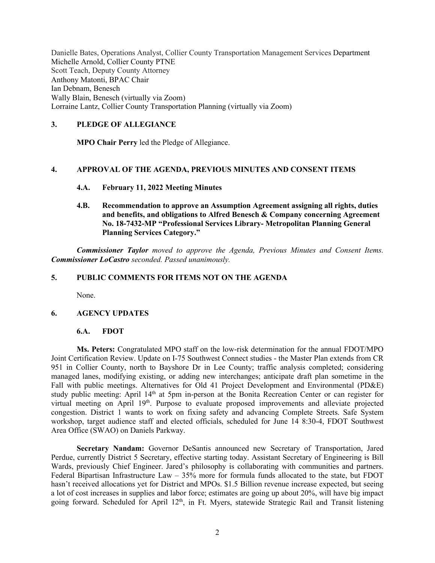Danielle Bates, Operations Analyst, Collier County Transportation Management Services Department Michelle Arnold, Collier County PTNE Scott Teach, Deputy County Attorney Anthony Matonti, BPAC Chair Ian Debnam, Benesch Wally Blain, Benesch (virtually via Zoom) Lorraine Lantz, Collier County Transportation Planning (virtually via Zoom)

## **3. PLEDGE OF ALLEGIANCE**

**MPO Chair Perry** led the Pledge of Allegiance.

### **4. APPROVAL OF THE AGENDA, PREVIOUS MINUTES AND CONSENT ITEMS**

- **4.A. February 11, 2022 Meeting Minutes**
- **4.B. Recommendation to approve an Assumption Agreement assigning all rights, duties and benefits, and obligations to Alfred Benesch & Company concerning Agreement No. 18-7432-MP "Professional Services Library- Metropolitan Planning General Planning Services Category."**

*Commissioner Taylor moved to approve the Agenda, Previous Minutes and Consent Items. Commissioner LoCastro seconded. Passed unanimously.*

### **5. PUBLIC COMMENTS FOR ITEMS NOT ON THE AGENDA**

None.

### **6. AGENCY UPDATES**

#### **6.A. FDOT**

**Ms. Peters:** Congratulated MPO staff on the low-risk determination for the annual FDOT/MPO Joint Certification Review. Update on I-75 Southwest Connect studies - the Master Plan extends from CR 951 in Collier County, north to Bayshore Dr in Lee County; traffic analysis completed; considering managed lanes, modifying existing, or adding new interchanges; anticipate draft plan sometime in the Fall with public meetings. Alternatives for Old 41 Project Development and Environmental (PD&E) study public meeting: April 14th at 5pm in-person at the Bonita Recreation Center or can register for virtual meeting on April 19<sup>th</sup>. Purpose to evaluate proposed improvements and alleviate projected congestion. District 1 wants to work on fixing safety and advancing Complete Streets. Safe System workshop, target audience staff and elected officials, scheduled for June 14 8:30-4, FDOT Southwest Area Office (SWAO) on Daniels Parkway.

**Secretary Nandam:** Governor DeSantis announced new Secretary of Transportation, Jared Perdue, currently District 5 Secretary, effective starting today. Assistant Secretary of Engineering is Bill Wards, previously Chief Engineer. Jared's philosophy is collaborating with communities and partners. Federal Bipartisan Infrastructure Law – 35% more for formula funds allocated to the state, but FDOT hasn't received allocations yet for District and MPOs. \$1.5 Billion revenue increase expected, but seeing a lot of cost increases in supplies and labor force; estimates are going up about 20%, will have big impact going forward. Scheduled for April 12<sup>th</sup>, in Ft. Myers, statewide Strategic Rail and Transit listening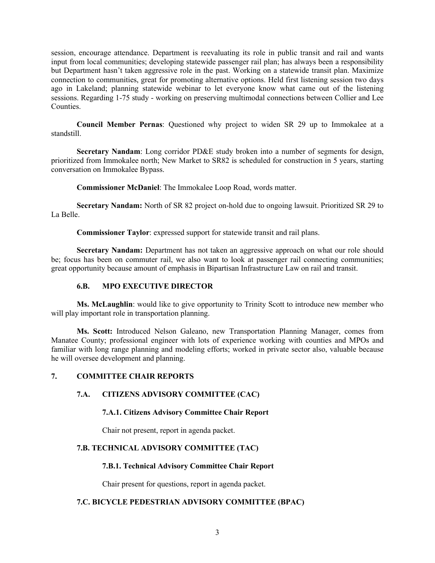session, encourage attendance. Department is reevaluating its role in public transit and rail and wants input from local communities; developing statewide passenger rail plan; has always been a responsibility but Department hasn't taken aggressive role in the past. Working on a statewide transit plan. Maximize connection to communities, great for promoting alternative options. Held first listening session two days ago in Lakeland; planning statewide webinar to let everyone know what came out of the listening sessions. Regarding 1-75 study - working on preserving multimodal connections between Collier and Lee Counties.

**Council Member Pernas**: Questioned why project to widen SR 29 up to Immokalee at a standstill.

**Secretary Nandam**: Long corridor PD&E study broken into a number of segments for design, prioritized from Immokalee north; New Market to SR82 is scheduled for construction in 5 years, starting conversation on Immokalee Bypass.

**Commissioner McDaniel**: The Immokalee Loop Road, words matter.

**Secretary Nandam:** North of SR 82 project on-hold due to ongoing lawsuit. Prioritized SR 29 to La Belle.

**Commissioner Taylor**: expressed support for statewide transit and rail plans.

**Secretary Nandam:** Department has not taken an aggressive approach on what our role should be; focus has been on commuter rail, we also want to look at passenger rail connecting communities; great opportunity because amount of emphasis in Bipartisan Infrastructure Law on rail and transit.

# **6.B. MPO EXECUTIVE DIRECTOR**

**Ms. McLaughlin**: would like to give opportunity to Trinity Scott to introduce new member who will play important role in transportation planning.

**Ms. Scott:** Introduced Nelson Galeano, new Transportation Planning Manager, comes from Manatee County; professional engineer with lots of experience working with counties and MPOs and familiar with long range planning and modeling efforts; worked in private sector also, valuable because he will oversee development and planning.

### **7. COMMITTEE CHAIR REPORTS**

# **7.A. CITIZENS ADVISORY COMMITTEE (CAC)**

### **7.A.1. Citizens Advisory Committee Chair Report**

Chair not present, report in agenda packet.

# **7.B. TECHNICAL ADVISORY COMMITTEE (TAC)**

### **7.B.1. Technical Advisory Committee Chair Report**

Chair present for questions, report in agenda packet.

# **7.C. BICYCLE PEDESTRIAN ADVISORY COMMITTEE (BPAC)**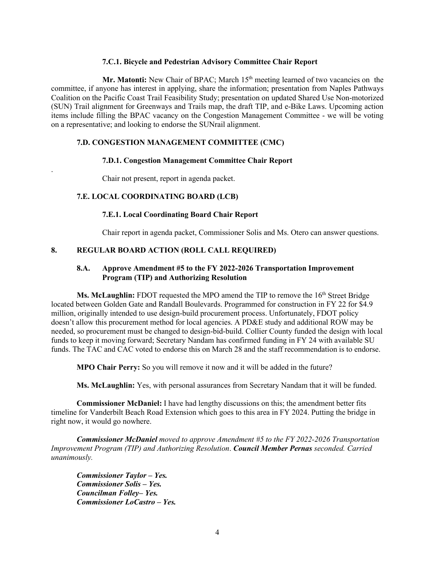#### **7.C.1. Bicycle and Pedestrian Advisory Committee Chair Report**

Mr. Matonti: New Chair of BPAC; March 15<sup>th</sup> meeting learned of two vacancies on the committee, if anyone has interest in applying, share the information; presentation from Naples Pathways Coalition on the Pacific Coast Trail Feasibility Study; presentation on updated Shared Use Non-motorized (SUN) Trail alignment for Greenways and Trails map, the draft TIP, and e-Bike Laws. Upcoming action items include filling the BPAC vacancy on the Congestion Management Committee - we will be voting on a representative; and looking to endorse the SUNrail alignment.

## **7.D. CONGESTION MANAGEMENT COMMITTEE (CMC)**

### **7.D.1. Congestion Management Committee Chair Report**

Chair not present, report in agenda packet.

## **7.E. LOCAL COORDINATING BOARD (LCB)**

.

### **7.E.1. Local Coordinating Board Chair Report**

Chair report in agenda packet, Commissioner Solis and Ms. Otero can answer questions.

## **8. REGULAR BOARD ACTION (ROLL CALL REQUIRED)**

## **8.A. Approve Amendment #5 to the FY 2022-2026 Transportation Improvement Program (TIP) and Authorizing Resolution**

**Ms. McLaughlin:** FDOT requested the MPO amend the TIP to remove the 16<sup>th</sup> Street Bridge located between Golden Gate and Randall Boulevards. Programmed for construction in FY 22 for \$4.9 million, originally intended to use design-build procurement process. Unfortunately, FDOT policy doesn't allow this procurement method for local agencies. A PD&E study and additional ROW may be needed, so procurement must be changed to design-bid-build. Collier County funded the design with local funds to keep it moving forward; Secretary Nandam has confirmed funding in FY 24 with available SU funds. The TAC and CAC voted to endorse this on March 28 and the staff recommendation is to endorse.

**MPO Chair Perry:** So you will remove it now and it will be added in the future?

**Ms. McLaughlin:** Yes, with personal assurances from Secretary Nandam that it will be funded.

**Commissioner McDaniel:** I have had lengthy discussions on this; the amendment better fits timeline for Vanderbilt Beach Road Extension which goes to this area in FY 2024. Putting the bridge in right now, it would go nowhere.

*Commissioner McDaniel moved to approve Amendment #5 to the FY 2022-2026 Transportation Improvement Program (TIP) and Authorizing Resolution*. *Council Member Pernas seconded. Carried unanimously.*

*Commissioner Taylor – Yes. Commissioner Solis – Yes. Councilman Folley– Yes. Commissioner LoCastro – Yes.*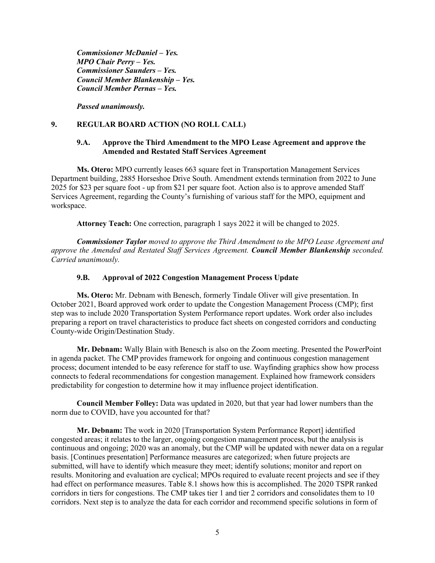*Commissioner McDaniel – Yes. MPO Chair Perry – Yes. Commissioner Saunders – Yes. Council Member Blankenship – Yes. Council Member Pernas – Yes.* 

*Passed unanimously.* 

## **9. REGULAR BOARD ACTION (NO ROLL CALL)**

#### **9.A. Approve the Third Amendment to the MPO Lease Agreement and approve the Amended and Restated Staff Services Agreement**

**Ms. Otero:** MPO currently leases 663 square feet in Transportation Management Services Department building, 2885 Horseshoe Drive South. Amendment extends termination from 2022 to June 2025 for \$23 per square foot - up from \$21 per square foot. Action also is to approve amended Staff Services Agreement, regarding the County's furnishing of various staff for the MPO, equipment and workspace.

**Attorney Teach:** One correction, paragraph 1 says 2022 it will be changed to 2025.

*Commissioner Taylor moved to approve the Third Amendment to the MPO Lease Agreement and approve the Amended and Restated Staff Services Agreement. Council Member Blankenship seconded. Carried unanimously.*

#### **9.B. Approval of 2022 Congestion Management Process Update**

**Ms. Otero:** Mr. Debnam with Benesch, formerly Tindale Oliver will give presentation. In October 2021, Board approved work order to update the Congestion Management Process (CMP); first step was to include 2020 Transportation System Performance report updates. Work order also includes preparing a report on travel characteristics to produce fact sheets on congested corridors and conducting County-wide Origin/Destination Study.

**Mr. Debnam:** Wally Blain with Benesch is also on the Zoom meeting. Presented the PowerPoint in agenda packet. The CMP provides framework for ongoing and continuous congestion management process; document intended to be easy reference for staff to use. Wayfinding graphics show how process connects to federal recommendations for congestion management. Explained how framework considers predictability for congestion to determine how it may influence project identification.

**Council Member Folley:** Data was updated in 2020, but that year had lower numbers than the norm due to COVID, have you accounted for that?

**Mr. Debnam:** The work in 2020 [Transportation System Performance Report] identified congested areas; it relates to the larger, ongoing congestion management process, but the analysis is continuous and ongoing; 2020 was an anomaly, but the CMP will be updated with newer data on a regular basis. [Continues presentation] Performance measures are categorized; when future projects are submitted, will have to identify which measure they meet; identify solutions; monitor and report on results. Monitoring and evaluation are cyclical; MPOs required to evaluate recent projects and see if they had effect on performance measures. Table 8.1 shows how this is accomplished. The 2020 TSPR ranked corridors in tiers for congestions. The CMP takes tier 1 and tier 2 corridors and consolidates them to 10 corridors. Next step is to analyze the data for each corridor and recommend specific solutions in form of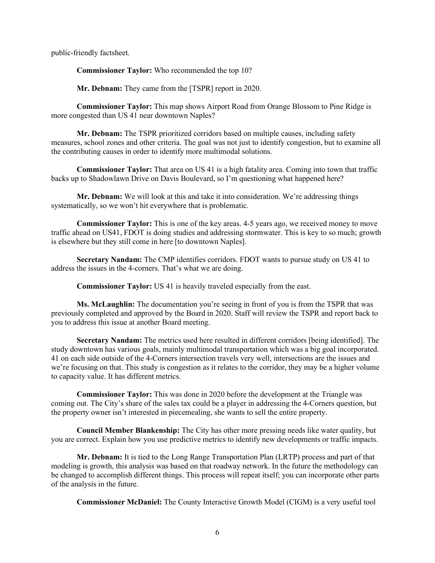public-friendly factsheet.

**Commissioner Taylor:** Who recommended the top 10?

**Mr. Debnam:** They came from the [TSPR] report in 2020.

**Commissioner Taylor:** This map shows Airport Road from Orange Blossom to Pine Ridge is more congested than US 41 near downtown Naples?

**Mr. Debnam:** The TSPR prioritized corridors based on multiple causes, including safety measures, school zones and other criteria. The goal was not just to identify congestion, but to examine all the contributing causes in order to identify more multimodal solutions.

**Commissioner Taylor:** That area on US 41 is a high fatality area. Coming into town that traffic backs up to Shadowlawn Drive on Davis Boulevard, so I'm questioning what happened here?

**Mr. Debnam:** We will look at this and take it into consideration. We're addressing things systematically, so we won't hit everywhere that is problematic.

**Commissioner Taylor:** This is one of the key areas. 4-5 years ago, we received money to move traffic ahead on US41, FDOT is doing studies and addressing stormwater. This is key to so much; growth is elsewhere but they still come in here [to downtown Naples].

**Secretary Nandam:** The CMP identifies corridors. FDOT wants to pursue study on US 41 to address the issues in the 4-corners. That's what we are doing.

**Commissioner Taylor:** US 41 is heavily traveled especially from the east.

**Ms. McLaughlin:** The documentation you're seeing in front of you is from the TSPR that was previously completed and approved by the Board in 2020. Staff will review the TSPR and report back to you to address this issue at another Board meeting.

**Secretary Nandam:** The metrics used here resulted in different corridors [being identified]. The study downtown has various goals, mainly multimodal transportation which was a big goal incorporated. 41 on each side outside of the 4-Corners intersection travels very well, intersections are the issues and we're focusing on that. This study is congestion as it relates to the corridor, they may be a higher volume to capacity value. It has different metrics.

**Commissioner Taylor:** This was done in 2020 before the development at the Triangle was coming out. The City's share of the sales tax could be a player in addressing the 4-Corners question, but the property owner isn't interested in piecemealing, she wants to sell the entire property.

**Council Member Blankenship:** The City has other more pressing needs like water quality, but you are correct. Explain how you use predictive metrics to identify new developments or traffic impacts.

**Mr. Debnam:** It is tied to the Long Range Transportation Plan (LRTP) process and part of that modeling is growth, this analysis was based on that roadway network. In the future the methodology can be changed to accomplish different things. This process will repeat itself; you can incorporate other parts of the analysis in the future.

**Commissioner McDaniel:** The County Interactive Growth Model (CIGM) is a very useful tool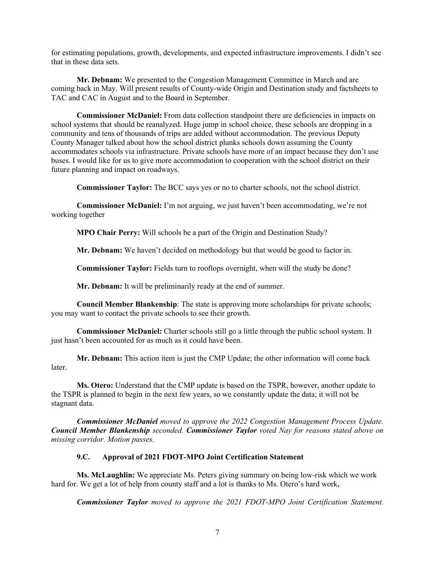for estimating populations, growth, developments, and expected infrastructure improvements. I didn't see that in these data sets.

**Mr. Debnam:** We presented to the Congestion Management Committee in March and are coming back in May. Will present results of County-wide Origin and Destination study and factsheets to TAC and CAC in August and to the Board in September.

**Commissioner McDaniel:** From data collection standpoint there are deficiencies in impacts on school systems that should be reanalyzed. Huge jump in school choice, these schools are dropping in a community and tens of thousands of trips are added without accommodation. The previous Deputy County Manager talked about how the school district plunks schools down assuming the County accommodates schools via infrastructure. Private schools have more of an impact because they don't use buses. I would like for us to give more accommodation to cooperation with the school district on their future planning and impact on roadways.

**Commissioner Taylor:** The BCC says yes or no to charter schools, not the school district.

**Commissioner McDaniel:** I'm not arguing, we just haven't been accommodating, we're not working together

**MPO Chair Perry:** Will schools be a part of the Origin and Destination Study?

**Mr. Debnam:** We haven't decided on methodology but that would be good to factor in.

**Commissioner Taylor:** Fields turn to rooftops overnight, when will the study be done?

**Mr. Debnam:** It will be preliminarily ready at the end of summer.

**Council Member Blankenship**: The state is approving more scholarships for private schools; you may want to contact the private schools to see their growth.

**Commissioner McDaniel:** Charter schools still go a little through the public school system. It just hasn't been accounted for as much as it could have been.

**Mr. Debnam:** This action item is just the CMP Update; the other information will come back later.

**Ms. Otero:** Understand that the CMP update is based on the TSPR, however, another update to the TSPR is planned to begin in the next few years, so we constantly update the data; it will not be stagnant data.

*Commissioner McDaniel moved to approve the 2022 Congestion Management Process Update. Council Member Blankenship seconded. Commissioner Taylor voted Nay for reasons stated above on missing corridor. Motion passes.*

## **9.C. Approval of 2021 FDOT-MPO Joint Certification Statement**

**Ms. McLaughlin:** We appreciate Ms. Peters giving summary on being low-risk which we work hard for. We get a lot of help from county staff and a lot is thanks to Ms. Otero's hard work**.** 

*Commissioner Taylor moved to approve the 2021 FDOT-MPO Joint Certification Statement.*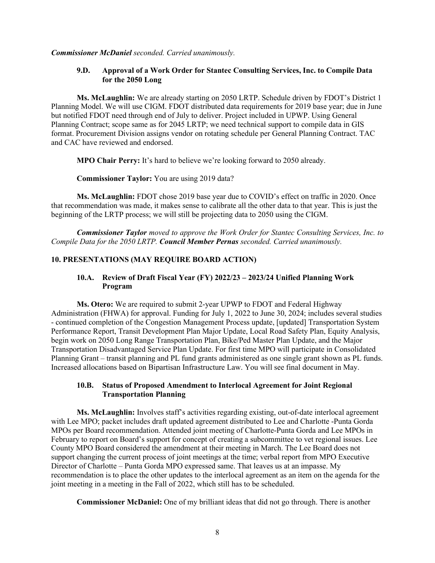*Commissioner McDaniel seconded. Carried unanimously.*

### **9.D. Approval of a Work Order for Stantec Consulting Services, Inc. to Compile Data for the 2050 Long**

**Ms. McLaughlin:** We are already starting on 2050 LRTP. Schedule driven by FDOT's District 1 Planning Model. We will use CIGM. FDOT distributed data requirements for 2019 base year; due in June but notified FDOT need through end of July to deliver. Project included in UPWP. Using General Planning Contract; scope same as for 2045 LRTP; we need technical support to compile data in GIS format. Procurement Division assigns vendor on rotating schedule per General Planning Contract. TAC and CAC have reviewed and endorsed.

**MPO Chair Perry:** It's hard to believe we're looking forward to 2050 already.

#### **Commissioner Taylor:** You are using 2019 data?

**Ms. McLaughlin:** FDOT chose 2019 base year due to COVID's effect on traffic in 2020. Once that recommendation was made, it makes sense to calibrate all the other data to that year. This is just the beginning of the LRTP process; we will still be projecting data to 2050 using the CIGM.

*Commissioner Taylor moved to approve the Work Order for Stantec Consulting Services, Inc. to Compile Data for the 2050 LRTP. Council Member Pernas seconded. Carried unanimously.*

### **10. PRESENTATIONS (MAY REQUIRE BOARD ACTION)**

## **10.A. Review of Draft Fiscal Year (FY) 2022/23 – 2023/24 Unified Planning Work Program**

**Ms. Otero:** We are required to submit 2-year UPWP to FDOT and Federal Highway Administration (FHWA) for approval. Funding for July 1, 2022 to June 30, 2024; includes several studies - continued completion of the Congestion Management Process update, [updated] Transportation System Performance Report, Transit Development Plan Major Update, Local Road Safety Plan, Equity Analysis, begin work on 2050 Long Range Transportation Plan, Bike/Ped Master Plan Update, and the Major Transportation Disadvantaged Service Plan Update. For first time MPO will participate in Consolidated Planning Grant – transit planning and PL fund grants administered as one single grant shown as PL funds. Increased allocations based on Bipartisan Infrastructure Law. You will see final document in May.

### **10.B. Status of Proposed Amendment to Interlocal Agreement for Joint Regional Transportation Planning**

**Ms. McLaughlin:** Involves staff's activities regarding existing, out-of-date interlocal agreement with Lee MPO; packet includes draft updated agreement distributed to Lee and Charlotte -Punta Gorda MPOs per Board recommendation. Attended joint meeting of Charlotte-Punta Gorda and Lee MPOs in February to report on Board's support for concept of creating a subcommittee to vet regional issues. Lee County MPO Board considered the amendment at their meeting in March. The Lee Board does not support changing the current process of joint meetings at the time; verbal report from MPO Executive Director of Charlotte – Punta Gorda MPO expressed same. That leaves us at an impasse. My recommendation is to place the other updates to the interlocal agreement as an item on the agenda for the joint meeting in a meeting in the Fall of 2022, which still has to be scheduled.

**Commissioner McDaniel:** One of my brilliant ideas that did not go through. There is another